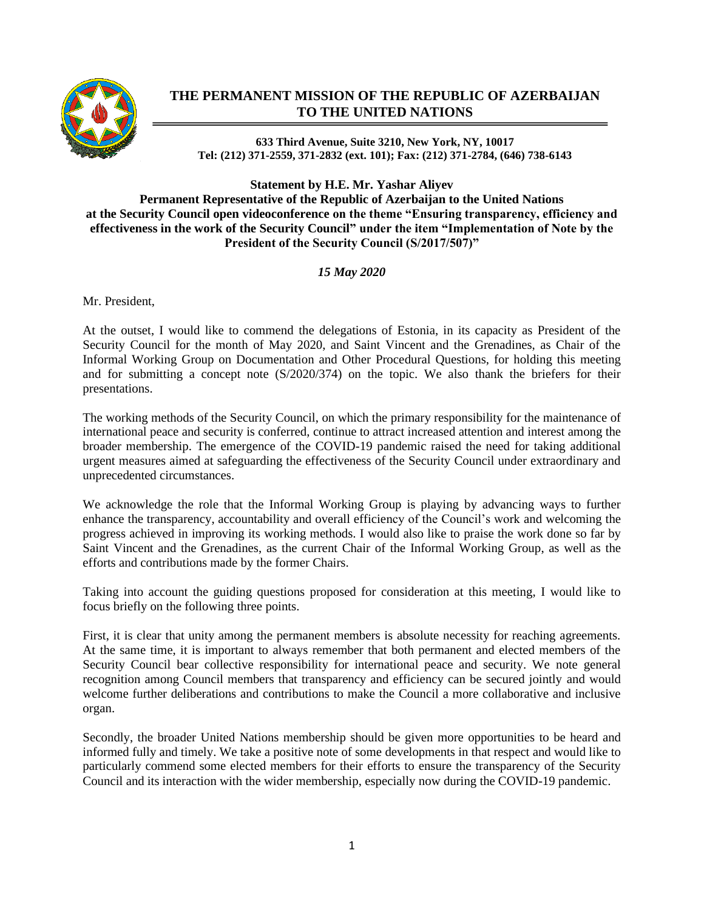

## **THE PERMANENT MISSION OF THE REPUBLIC OF AZERBAIJAN TO THE UNITED NATIONS**

**633 Third Avenue, Suite 3210, New York, NY, 10017 Tel: (212) 371-2559, 371-2832 (ext. 101); Fax: (212) 371-2784, (646) 738-6143**

**Statement by H.E. Mr. Yashar Aliyev**

**Permanent Representative of the Republic of Azerbaijan to the United Nations at the Security Council open videoconference on the theme "Ensuring transparency, efficiency and effectiveness in the work of the Security Council" under the item "Implementation of Note by the President of the Security Council (S/2017/507)"**

*15 May 2020*

Mr. President,

At the outset, I would like to commend the delegations of Estonia, in its capacity as President of the Security Council for the month of May 2020, and Saint Vincent and the Grenadines, as Chair of the Informal Working Group on Documentation and Other Procedural Questions, for holding this meeting and for submitting a concept note (S/2020/374) on the topic. We also thank the briefers for their presentations.

The working methods of the Security Council, on which the primary responsibility for the maintenance of international peace and security is conferred, continue to attract increased attention and interest among the broader membership. The emergence of the COVID-19 pandemic raised the need for taking additional urgent measures aimed at safeguarding the effectiveness of the Security Council under extraordinary and unprecedented circumstances.

We acknowledge the role that the Informal Working Group is playing by advancing ways to further enhance the transparency, accountability and overall efficiency of the Council's work and welcoming the progress achieved in improving its working methods. I would also like to praise the work done so far by Saint Vincent and the Grenadines, as the current Chair of the Informal Working Group, as well as the efforts and contributions made by the former Chairs.

Taking into account the guiding questions proposed for consideration at this meeting, I would like to focus briefly on the following three points.

First, it is clear that unity among the permanent members is absolute necessity for reaching agreements. At the same time, it is important to always remember that both permanent and elected members of the Security Council bear collective responsibility for international peace and security. We note general recognition among Council members that transparency and efficiency can be secured jointly and would welcome further deliberations and contributions to make the Council a more collaborative and inclusive organ.

Secondly, the broader United Nations membership should be given more opportunities to be heard and informed fully and timely. We take a positive note of some developments in that respect and would like to particularly commend some elected members for their efforts to ensure the transparency of the Security Council and its interaction with the wider membership, especially now during the COVID-19 pandemic.